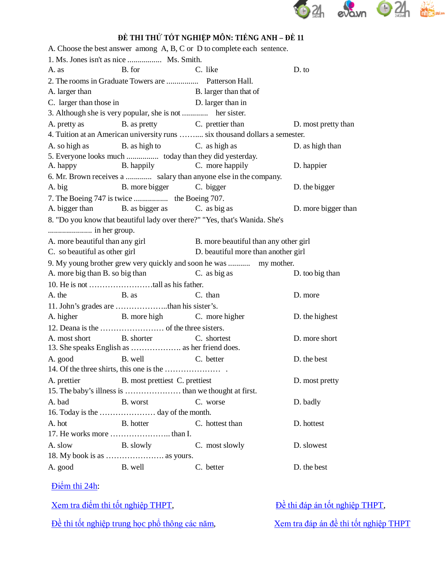

## **ĐỀ THI THỬ TỐT NGHIỆP MÔN: TIẾNG ANH – ĐỀ 11**

| A. Choose the best answer among A, B, C or D to complete each sentence.     |                                     |                     |
|-----------------------------------------------------------------------------|-------------------------------------|---------------------|
| 1. Ms. Jones isn't as nice  Ms. Smith.                                      |                                     |                     |
| B. for<br>C. like<br>A. as                                                  |                                     | D. to               |
| 2. The rooms in Graduate Towers are  Patterson Hall.                        |                                     |                     |
| A. larger than                                                              | B. larger than that of              |                     |
| C. larger than those in                                                     | D. larger than in                   |                     |
|                                                                             |                                     |                     |
| A. pretty as B. as pretty B. c. prettier than                               |                                     | D. most pretty than |
| 4. Tuition at an American university runs  six thousand dollars a semester. |                                     |                     |
| A. so high as B. as high to C. as high as                                   |                                     | D. as high than     |
| 5. Everyone looks much  today than they did yesterday.                      |                                     |                     |
| A. happy B. happily C. more happily                                         |                                     | D. happier          |
| 6. Mr. Brown receives a  salary than anyone else in the company.            |                                     |                     |
| B. more bigger C. bigger<br>A. big                                          |                                     | D. the bigger       |
|                                                                             |                                     |                     |
| A. bigger than B. as bigger as C. as big as                                 |                                     | D. more bigger than |
| 8. "Do you know that beautiful lady over there?" "Yes, that's Wanida. She's |                                     |                     |
|                                                                             |                                     |                     |
| A. more beautiful than any girl B. more beautiful than any other girl       |                                     |                     |
| C. so beautiful as other girl                                               | D. beautiful more than another girl |                     |
| 9. My young brother grew very quickly and soon he was  my mother.           |                                     |                     |
| A. more big than B. so big than C. as big as                                |                                     | D. too big than     |
|                                                                             |                                     |                     |
| B. as<br>A. the                                                             | C. than                             | D. more             |
|                                                                             |                                     |                     |
| A. higher B. more high C. more higher                                       |                                     | D. the highest      |
|                                                                             |                                     |                     |
| B. shorter C. shortest<br>A. most short                                     |                                     | D. more short       |
|                                                                             |                                     |                     |
| B. well<br>A. good                                                          | C. better                           | D. the best         |
|                                                                             |                                     |                     |
| A. prettier<br>B. most prettiest C. prettiest                               |                                     | D. most pretty      |
|                                                                             |                                     |                     |
| A. bad<br>B. worst                                                          | C. worse                            | D. badly            |
|                                                                             |                                     |                     |
| B. hotter<br>A. hot                                                         | C. hottest than                     | D. hottest          |
|                                                                             |                                     |                     |
| A. slow<br><b>B.</b> slowly                                                 |                                     |                     |
|                                                                             |                                     | D. slowest          |
|                                                                             | C. most slowly                      |                     |

Điể[m thi 24h:](http://diemthi.24h.com.vn/dap-an-de-thi-thpt/)

[Xem tra điể](http://diemthi.24h.com.vn/diem-thi-tot-nghiep-thpt/)m thi tốt nghiệp THPT,<br> $\frac{\partial}{\partial t}$  [thi đáp án tố](http://diemthi.24h.com.vn/dap-an-de-thi-thpt/)t nghiệp THPT, Đề thi tốt nghiệp trung học phổ [thông các năm](http://diemthi.24h.com.vn/dap-an-de-thi-thpt/),<br>[Xem tra đáp án đề](http://diemthi.24h.com.vn/dap-an-de-thi-thpt/) thi tốt nghiệp THPT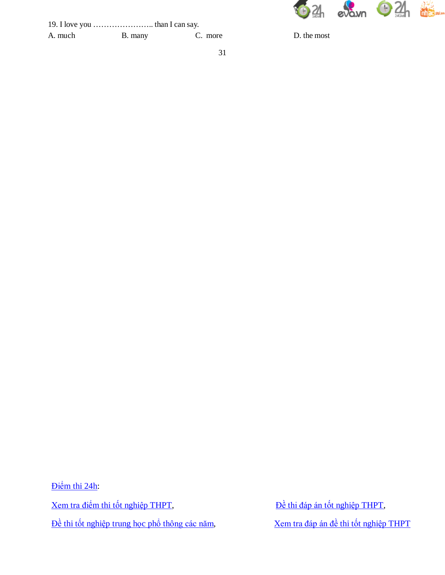

| A. much | B. many | C. mor |
|---------|---------|--------|

A. much B. the most

Điể[m thi 24h:](http://diemthi.24h.com.vn/dap-an-de-thi-thpt/) [Xem tra điể](http://diemthi.24h.com.vn/diem-thi-tot-nghiep-thpt/)m thi tốt nghiệp THPT,<br> $\frac{\partial}{\partial t}$  [thi đáp án tố](http://diemthi.24h.com.vn/dap-an-de-thi-thpt/)t nghiệp THPT,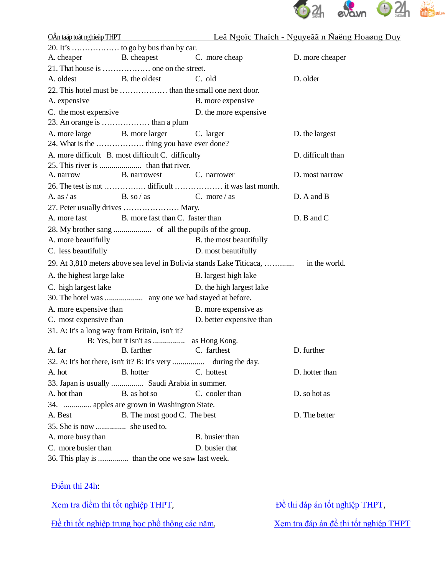

|                                                |                                                                                                    |                          | OÂn taäp toát nghieäp THPT Leâ Ngoïc Thaïch - Nguyeãã n Naëng Hoaøng Duy |
|------------------------------------------------|----------------------------------------------------------------------------------------------------|--------------------------|--------------------------------------------------------------------------|
|                                                |                                                                                                    |                          |                                                                          |
|                                                | A. cheaper B. cheapest C. more cheap                                                               |                          | D. more cheaper                                                          |
|                                                |                                                                                                    |                          |                                                                          |
| A. oldest                                      | B. the oldest                                                                                      | C. old                   | D. older                                                                 |
|                                                |                                                                                                    |                          |                                                                          |
| A. expensive                                   |                                                                                                    | B. more expensive        |                                                                          |
| C. the most expensive                          |                                                                                                    | D. the more expensive    |                                                                          |
|                                                |                                                                                                    |                          |                                                                          |
|                                                | A. more large B. more larger C. larger                                                             |                          | D. the largest                                                           |
|                                                |                                                                                                    |                          |                                                                          |
|                                                | A. more difficult B. most difficult C. difficulty                                                  |                          | D. difficult than                                                        |
|                                                |                                                                                                    |                          |                                                                          |
| A. narrow                                      | <b>B.</b> narrowest                                                                                | C. narrower              | D. most narrow                                                           |
|                                                |                                                                                                    |                          |                                                                          |
|                                                | A. as $\frac{1}{2}$ as $\frac{1}{2}$ B. so $\frac{1}{2}$ as $\frac{1}{2}$ C. more $\frac{1}{2}$ as |                          | D. A and B                                                               |
|                                                | 27. Peter usually drives  Mary.                                                                    |                          |                                                                          |
|                                                | A. more fast B. more fast than C. faster than                                                      |                          | D. B and C                                                               |
|                                                |                                                                                                    |                          |                                                                          |
| A. more beautifully                            |                                                                                                    | B. the most beautifully  |                                                                          |
| C. less beautifully                            |                                                                                                    | D. most beautifully      |                                                                          |
|                                                |                                                                                                    |                          |                                                                          |
| A. the highest large lake                      |                                                                                                    | B. largest high lake     |                                                                          |
| C. high largest lake                           |                                                                                                    | D. the high largest lake |                                                                          |
|                                                |                                                                                                    |                          |                                                                          |
| A. more expensive than                         |                                                                                                    | B. more expensive as     |                                                                          |
| C. most expensive than                         |                                                                                                    | D. better expensive than |                                                                          |
| 31. A: It's a long way from Britain, isn't it? |                                                                                                    |                          |                                                                          |
|                                                |                                                                                                    |                          |                                                                          |
| A. far                                         | B. farther                                                                                         | C. farthest              | D. further                                                               |
|                                                |                                                                                                    |                          |                                                                          |
| A. hot                                         | B. hotter                                                                                          | C. hottest               | D. hotter than                                                           |
|                                                | 33. Japan is usually  Saudi Arabia in summer.                                                      |                          |                                                                          |
| A. hot than                                    | B. as hot so                                                                                       | C. cooler than           | D. so hot as                                                             |
|                                                | 34.  apples are grown in Washington State.                                                         |                          |                                                                          |
| A. Best                                        | B. The most good C. The best                                                                       |                          | D. The better                                                            |
| 35. She is now  she used to.                   |                                                                                                    |                          |                                                                          |
| A. more busy than                              |                                                                                                    | B. busier than           |                                                                          |
| C. more busier than                            |                                                                                                    | D. busier that           |                                                                          |
|                                                | 36. This play is  than the one we saw last week.                                                   |                          |                                                                          |

## Điể[m thi 24h:](http://diemthi.24h.com.vn/dap-an-de-thi-thpt/)

| Xem tra điểm thi tốt nghiệp THPT,              | Đề thi đáp án tốt nghiệp THPT,        |
|------------------------------------------------|---------------------------------------|
| Đề thi tốt nghiệp trung học phổ thông các năm, | Xem tra đáp án đề thi tốt nghiệp THPT |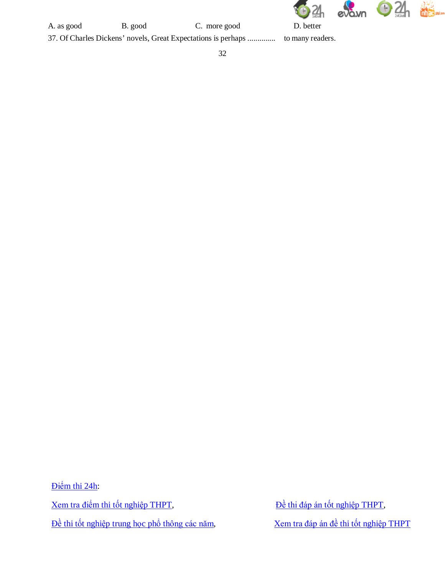

A. as good B. good C. more good D. better

37. Of Charles Dickens' novels, Great Expectations is perhaps .............. to many readers.

Điể[m thi 24h:](http://diemthi.24h.com.vn/dap-an-de-thi-thpt/) [Xem tra điể](http://diemthi.24h.com.vn/diem-thi-tot-nghiep-thpt/)m thi tốt nghiệp THPT,<br> $\frac{\partial}{\partial t}$  [thi đáp án tố](http://diemthi.24h.com.vn/dap-an-de-thi-thpt/)t nghiệp THPT,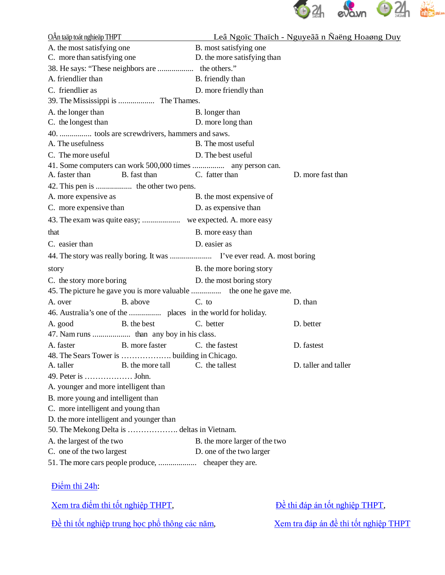

| OÂn taäp toát nghieäp THPT               |                                                |                                                                   | Leâ Ngoïc Thaïch - Nguyeãã n Naëng Hoaøng Duy |
|------------------------------------------|------------------------------------------------|-------------------------------------------------------------------|-----------------------------------------------|
| A. the most satisfying one               |                                                | B. most satisfying one                                            |                                               |
| C. more than satisfying one              |                                                | D. the more satisfying than                                       |                                               |
|                                          |                                                |                                                                   |                                               |
| A. friendlier than                       |                                                | B. friendly than                                                  |                                               |
| C. friendlier as                         |                                                | D. more friendly than                                             |                                               |
|                                          | 39. The Mississippi is  The Thames.            |                                                                   |                                               |
| A. the longer than                       |                                                | B. longer than                                                    |                                               |
| C. the longest than                      |                                                | D. more long than                                                 |                                               |
|                                          | 40.  tools are screwdrivers, hammers and saws. |                                                                   |                                               |
| A. The usefulness                        |                                                | B. The most useful                                                |                                               |
| C. The more useful                       |                                                | D. The best useful                                                |                                               |
|                                          |                                                |                                                                   |                                               |
| A. faster than                           | B. fast than                                   | C. fatter than                                                    | D. more fast than                             |
|                                          |                                                |                                                                   |                                               |
| A. more expensive as                     |                                                | B. the most expensive of                                          |                                               |
| C. more expensive than                   |                                                | D. as expensive than                                              |                                               |
|                                          |                                                |                                                                   |                                               |
| that                                     |                                                | B. more easy than                                                 |                                               |
| C. easier than                           |                                                | D. easier as                                                      |                                               |
|                                          |                                                |                                                                   |                                               |
| story                                    |                                                | B. the more boring story                                          |                                               |
| C. the story more boring                 |                                                | D. the most boring story                                          |                                               |
|                                          |                                                | 45. The picture he gave you is more valuable  the one he gave me. |                                               |
| A. over                                  | B. above                                       | $C.$ to                                                           | D. than                                       |
|                                          |                                                |                                                                   |                                               |
| A. good                                  | B. the best                                    | C. better                                                         | D. better                                     |
|                                          |                                                |                                                                   |                                               |
| A. faster                                | B. more faster                                 | C. the fastest                                                    | D. fastest                                    |
|                                          | 48. The Sears Tower is  building in Chicago.   |                                                                   |                                               |
| A. taller                                | B. the more tall                               | C. the tallest                                                    | D. taller and taller                          |
| 49. Peter is  John.                      |                                                |                                                                   |                                               |
| A. younger and more intelligent than     |                                                |                                                                   |                                               |
| B. more young and intelligent than       |                                                |                                                                   |                                               |
| C. more intelligent and young than       |                                                |                                                                   |                                               |
| D. the more intelligent and younger than |                                                |                                                                   |                                               |
|                                          | 50. The Mekong Delta is  deltas in Vietnam.    |                                                                   |                                               |
| A. the largest of the two                |                                                | B. the more larger of the two                                     |                                               |
| C. one of the two largest                |                                                | D. one of the two larger                                          |                                               |
|                                          |                                                |                                                                   |                                               |

Điể[m thi 24h:](http://diemthi.24h.com.vn/dap-an-de-thi-thpt/)

| Xem tra điểm thi tốt nghiệp THPT,              | Đề thi đáp án tốt nghiệp THPT,        |
|------------------------------------------------|---------------------------------------|
| Đề thi tốt nghiệp trung học phổ thông các năm, | Xem tra đáp án đề thi tốt nghiệp THPT |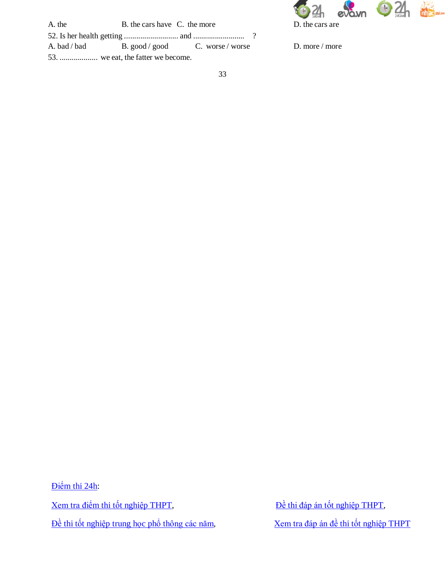

| A. the | B. the cars have C. the more |                                                  |
|--------|------------------------------|--------------------------------------------------|
|        |                              |                                                  |
|        |                              | A. bad / bad bad B. good / good C. worse / worse |
|        |                              |                                                  |

D. more / more

Điể[m thi 24h:](http://diemthi.24h.com.vn/dap-an-de-thi-thpt/) [Xem tra điể](http://diemthi.24h.com.vn/diem-thi-tot-nghiep-thpt/)m thi tốt nghiệp THPT,<br> $\frac{\partial}{\partial t}$  [thi đáp án tố](http://diemthi.24h.com.vn/dap-an-de-thi-thpt/)t nghiệp THPT,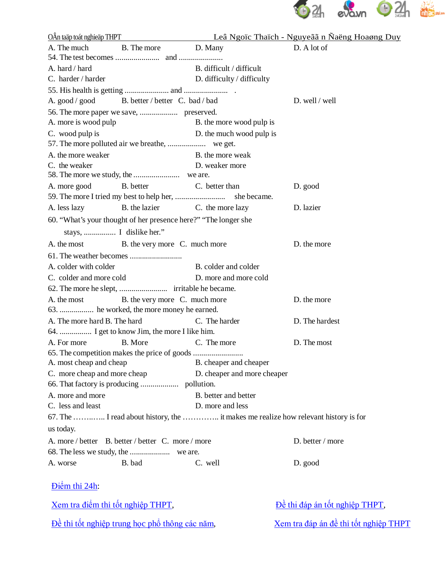

|                                          |                                                                 |                             | <u> OÂn taäp toát nghieäp THPT</u> Leâ Ngoic Thaich - Nguyeãa n Ñaëng Hoaøng Duy    |
|------------------------------------------|-----------------------------------------------------------------|-----------------------------|-------------------------------------------------------------------------------------|
| A. The much                              | B. The more D. Many                                             |                             | D. A lot of                                                                         |
|                                          |                                                                 |                             |                                                                                     |
| A. hard / hard                           |                                                                 | B. difficult / difficult    |                                                                                     |
| C. harder / harder                       |                                                                 | D. difficulty / difficulty  |                                                                                     |
|                                          |                                                                 |                             |                                                                                     |
|                                          | A. good / good B. better / better C. bad / bad                  |                             | D. well / well                                                                      |
|                                          |                                                                 |                             |                                                                                     |
| A. more is wood pulp                     |                                                                 | B. the more wood pulp is    |                                                                                     |
| C. wood pulp is                          |                                                                 | D. the much wood pulp is    |                                                                                     |
|                                          |                                                                 |                             |                                                                                     |
| A. the more weaker                       |                                                                 | B. the more weak            |                                                                                     |
| C. the weaker                            |                                                                 | D. weaker more              |                                                                                     |
|                                          |                                                                 |                             |                                                                                     |
| A. more good                             | B. better                                                       | C. better than              | D. good                                                                             |
|                                          |                                                                 |                             |                                                                                     |
| A. less lazy                             | B. the lazier                                                   | C. the more lazy            | D. lazier                                                                           |
|                                          | 60. "What's your thought of her presence here?" "The longer she |                             |                                                                                     |
|                                          |                                                                 |                             |                                                                                     |
| A. the most                              | B. the very more C. much more                                   |                             | D. the more                                                                         |
|                                          |                                                                 |                             |                                                                                     |
| A. colder with colder                    |                                                                 | B. colder and colder        |                                                                                     |
| C. colder and more cold                  |                                                                 | D. more and more cold       |                                                                                     |
|                                          |                                                                 |                             |                                                                                     |
| A. the most                              | B. the very more C. much more                                   |                             | D. the more                                                                         |
|                                          | 63.  he worked, the more money he earned.                       |                             |                                                                                     |
| A. The more hard B. The hard             |                                                                 | C. The harder               | D. The hardest                                                                      |
|                                          | 64.  I get to know Jim, the more I like him.                    |                             |                                                                                     |
| A. For more                              | B. More                                                         | C. The more                 | D. The most                                                                         |
|                                          | 65. The competition makes the price of goods                    |                             |                                                                                     |
| A. most cheap and cheap                  |                                                                 | B. cheaper and cheaper      |                                                                                     |
| C. more cheap and more cheap             |                                                                 | D. cheaper and more cheaper |                                                                                     |
|                                          |                                                                 |                             |                                                                                     |
| A. more and more                         |                                                                 | B. better and better        |                                                                                     |
| C. less and least                        |                                                                 | D. more and less            |                                                                                     |
|                                          |                                                                 |                             | 67. The  I read about history, the  it makes me realize how relevant history is for |
| us today.                                |                                                                 |                             |                                                                                     |
|                                          | A. more / better B. better / better C. more / more              |                             | D. better / more                                                                    |
|                                          |                                                                 |                             |                                                                                     |
| A. worse                                 | B. bad                                                          | C. well                     | D. good                                                                             |
| Diệm thi 24h:                            |                                                                 |                             |                                                                                     |
| <u>Xem tra điểm thi tốt nghiệp THPT,</u> |                                                                 |                             | Dề thi đáp án tốt nghiệp THPT,                                                      |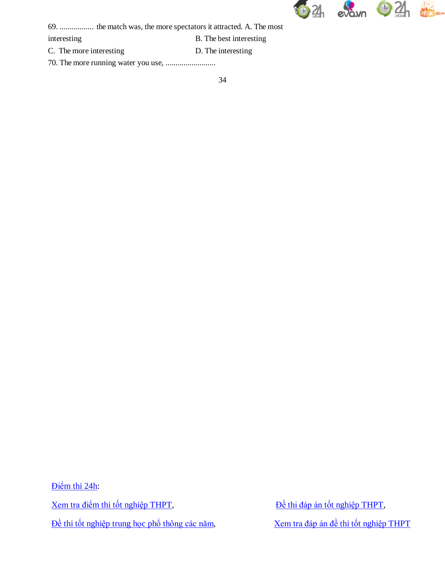

69. ................. the match was, the more spectators it attracted. A. The most

interesting B. The best interesting

C. The more interesting D. The interesting

70. The more running water you use, .........................

Điể[m thi 24h:](http://diemthi.24h.com.vn/dap-an-de-thi-thpt/) [Xem tra điể](http://diemthi.24h.com.vn/diem-thi-tot-nghiep-thpt/)m thi tốt nghiệp THPT,<br> $\frac{\partial}{\partial t}$  bề [thi đáp án tố](http://diemthi.24h.com.vn/dap-an-de-thi-thpt/)t nghiệp THPT,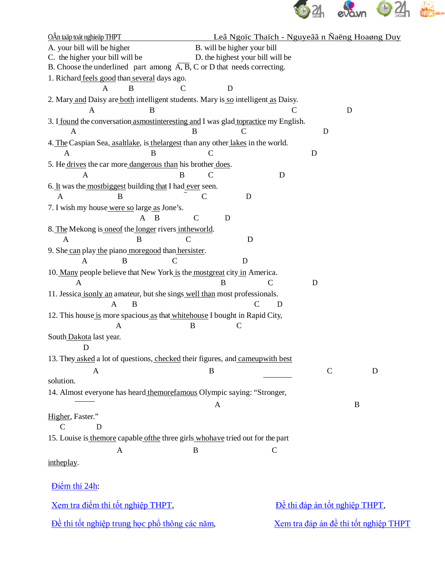

| OÂn taäp toát nghieäp THPT                                                                          | Leâ Ngoïc Thaïch - Nguyeãã n Ñaëng Hoaøng Duy |               |                                              |   |
|-----------------------------------------------------------------------------------------------------|-----------------------------------------------|---------------|----------------------------------------------|---|
| A. your bill will be higher                                                                         | B. will be higher your bill                   |               |                                              |   |
| C. the higher your bill will be                                                                     | D. the highest your bill will be              |               |                                              |   |
| B. Choose the underlined part among $\overline{A}$ , $\overline{B}$ , C or D that needs correcting. |                                               |               |                                              |   |
| 1. Richard feels good than several days ago.                                                        |                                               |               |                                              |   |
| B<br>A<br>C                                                                                         | D                                             |               |                                              |   |
| 2. Mary and Daisy are both intelligent students. Mary is so intelligent as Daisy.                   |                                               |               |                                              |   |
| A<br>B                                                                                              |                                               | C             | D                                            |   |
| 3. I found the conversation asmost interesting and I was glad to practice my English.<br>B<br>A     | C                                             |               | D                                            |   |
| 4. The Caspian Sea, asaltlake, is the largest than any other lakes in the world.<br>B<br>A          | C                                             | D             |                                              |   |
|                                                                                                     |                                               |               |                                              |   |
| 5. He drives the car more dangerous than his brother does.<br>B<br>A                                | $\mathcal{C}$                                 | D             |                                              |   |
| 6. It was the most biggest building that I had ever seen.                                           |                                               |               |                                              |   |
| A<br>B                                                                                              | $\mathcal{C}$<br>D                            |               |                                              |   |
| 7. I wish my house were so large as Jone's.                                                         |                                               |               |                                              |   |
| B<br>$\mathsf{A}$                                                                                   | D                                             |               |                                              |   |
| 8. The Mekong is one of the longer rivers in the world.                                             |                                               |               |                                              |   |
| $\mathcal{C}$<br>A<br>B                                                                             | D                                             |               |                                              |   |
| 9. She can play the piano moregood than hersister.                                                  |                                               |               |                                              |   |
| B<br>A<br>C                                                                                         | D                                             |               |                                              |   |
| 10. Many people believe that New York is the mostgreat city in America.                             |                                               |               |                                              |   |
| A                                                                                                   | $\mathcal{C}$<br>B                            | D             |                                              |   |
| 11. Jessica isonly an amateur, but she sings well than most professionals.                          |                                               |               |                                              |   |
| A<br>B                                                                                              | C                                             | D             |                                              |   |
| 12. This house is more spacious as that whitehouse I bought in Rapid City,                          |                                               |               |                                              |   |
| A<br>B                                                                                              | C                                             |               |                                              |   |
| South Dakota last year.                                                                             |                                               |               |                                              |   |
| D                                                                                                   |                                               |               |                                              |   |
| 13. They asked a lot of questions, checked their figures, and cameupwith best                       |                                               |               |                                              |   |
|                                                                                                     |                                               |               |                                              |   |
| A<br>solution.                                                                                      | B                                             |               | $\mathcal{C}$                                | D |
|                                                                                                     |                                               |               |                                              |   |
| 14. Almost everyone has heard themorefamous Olympic saying: "Stronger,                              |                                               |               |                                              |   |
|                                                                                                     | A                                             |               | B                                            |   |
| Higher, Faster."                                                                                    |                                               |               |                                              |   |
| D<br>$\mathsf{C}$                                                                                   |                                               |               |                                              |   |
| 15. Louise is the more capable of the three girls who have tried out for the part                   |                                               |               |                                              |   |
| $\mathbf{A}$<br>B                                                                                   |                                               | $\mathcal{C}$ |                                              |   |
| intheplay.                                                                                          |                                               |               |                                              |   |
| Diệm thi 24h:                                                                                       |                                               |               |                                              |   |
| <u>Xem tra điểm thi tốt nghiệp THPT,</u>                                                            |                                               |               | Dề thi đáp án tốt nghiệp THPT,               |   |
| Dề thi tốt nghiệp trung học phổ thông các năm,                                                      |                                               |               | <u>Xem tra đáp án đề thi tốt nghiệp THPT</u> |   |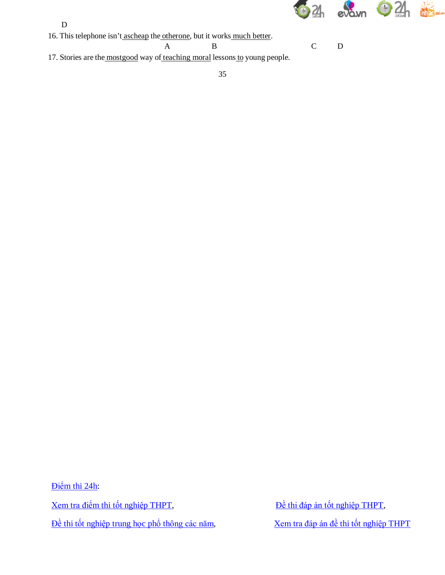

- D
- 16. This telephone isn't ascheap the otherone, but it works much better.
	- A B C D

17. Stories are the mostgood way of teaching moral lessons to young people.

Điể[m thi 24h:](http://diemthi.24h.com.vn/dap-an-de-thi-thpt/) [Xem tra điể](http://diemthi.24h.com.vn/diem-thi-tot-nghiep-thpt/)m thi tốt nghiệp THPT,<br> $\frac{D\grave{e}}{D\grave{e}}$  [thi đáp án tố](http://diemthi.24h.com.vn/dap-an-de-thi-thpt/)t nghiệp THPT,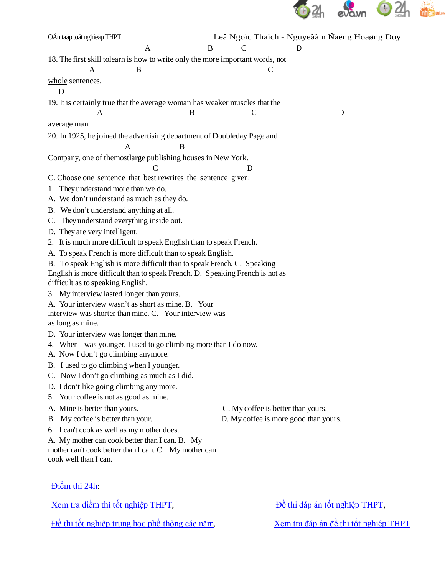

| OÂn taäp toát nghieäp THPT                                                                      |               | Leâ Ngoïc Thaïch - Nguyeãã n Ñaëng Hoaøng Duy |
|-------------------------------------------------------------------------------------------------|---------------|-----------------------------------------------|
| B<br>A                                                                                          | C             | D                                             |
| 18. The first skill tolearn is how to write only the more important words, not                  |               |                                               |
| A<br>B                                                                                          | $\mathcal{C}$ |                                               |
| whole sentences.<br>D                                                                           |               |                                               |
| 19. It is certainly true that the average woman has weaker muscles that the                     |               |                                               |
| A<br>B                                                                                          | $\mathcal{C}$ | D                                             |
| average man.                                                                                    |               |                                               |
| 20. In 1925, he joined the advertising department of Doubleday Page and                         |               |                                               |
| B<br>A                                                                                          |               |                                               |
| Company, one of the mostlarge publishing houses in New York.                                    |               |                                               |
| C<br>C. Choose one sentence that best rewrites the sentence given:                              | D             |                                               |
| They understand more than we do.<br>1.                                                          |               |                                               |
| A. We don't understand as much as they do.                                                      |               |                                               |
| B. We don't understand anything at all.                                                         |               |                                               |
| C. They understand everything inside out.                                                       |               |                                               |
| D. They are very intelligent.                                                                   |               |                                               |
| 2. It is much more difficult to speak English than to speak French.                             |               |                                               |
| A. To speak French is more difficult than to speak English.                                     |               |                                               |
| B. To speak English is more difficult than to speak French. C. Speaking                         |               |                                               |
| English is more difficult than to speak French. D. Speaking French is not as                    |               |                                               |
| difficult as to speaking English.                                                               |               |                                               |
| 3. My interview lasted longer than yours.<br>A. Your interview wasn't as short as mine. B. Your |               |                                               |
| interview was shorter than mine. C. Your interview was                                          |               |                                               |
| as long as mine.                                                                                |               |                                               |
| D. Your interview was longer than mine.                                                         |               |                                               |
| 4. When I was younger, I used to go climbing more than I do now.                                |               |                                               |
| A. Now I don't go climbing anymore.                                                             |               |                                               |
| B. I used to go climbing when I younger.                                                        |               |                                               |
| C. Now I don't go climbing as much as I did.                                                    |               |                                               |
| D. I don't like going climbing any more.<br>5. Your coffee is not as good as mine.              |               |                                               |
| A. Mine is better than yours.                                                                   |               | C. My coffee is better than yours.            |
| B. My coffee is better than your.                                                               |               | D. My coffee is more good than yours.         |
| 6. I can't cook as well as my mother does.                                                      |               |                                               |
| A. My mother can cook better than I can. B. My                                                  |               |                                               |
| mother can't cook better than I can. C. My mother can                                           |               |                                               |
| cook well than I can.                                                                           |               |                                               |
|                                                                                                 |               |                                               |
| Diệm thi 24h:                                                                                   |               |                                               |
| <u>Xem tra điểm thi tốt nghiệp THPT,</u>                                                        |               | Dề thi đáp án tốt nghiệp THPT,                |
|                                                                                                 |               |                                               |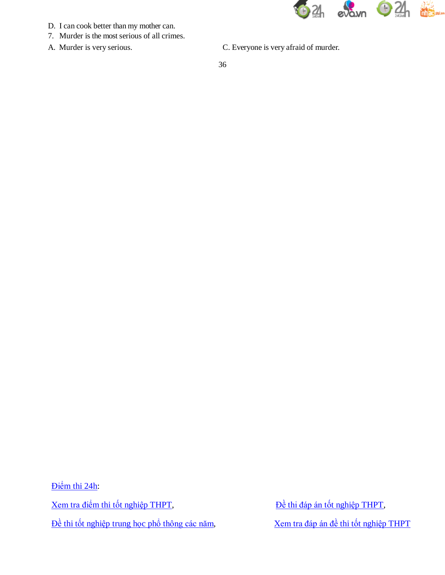

- D. I can cook better than my mother can.
- 7. Murder is the most serious of all crimes.
- 
- A. Murder is very serious. C. Everyone is very afraid of murder.

Điể[m thi 24h:](http://diemthi.24h.com.vn/dap-an-de-thi-thpt/) [Xem tra điể](http://diemthi.24h.com.vn/diem-thi-tot-nghiep-thpt/)m thi tốt nghiệp THPT,<br> $\frac{\partial}{\partial t}$  bề [thi đáp án tố](http://diemthi.24h.com.vn/dap-an-de-thi-thpt/)t nghiệp THPT,